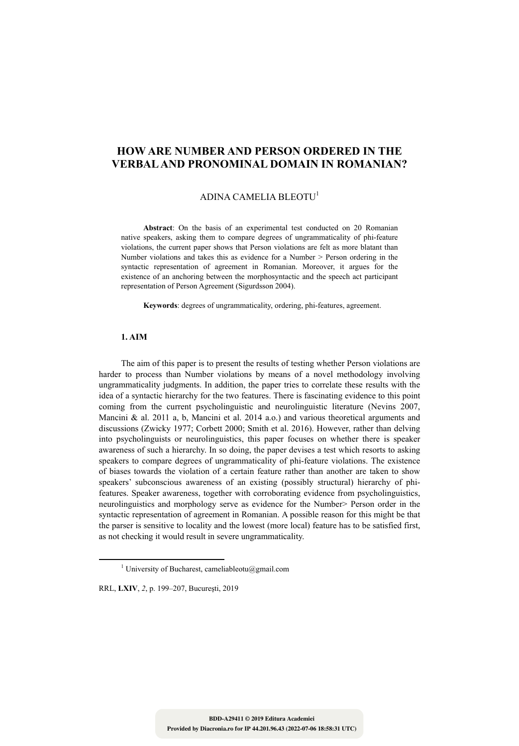# **HOW ARE NUMBER AND PERSON ORDERED IN THE VERBAL AND PRONOMINAL DOMAIN IN ROMANIAN?**

# ADINA CAMELIA BLEOTU<sup>1</sup>

**Abstract**: On the basis of an experimental test conducted on 20 Romanian native speakers, asking them to compare degrees of ungrammaticality of phi-feature violations, the current paper shows that Person violations are felt as more blatant than Number violations and takes this as evidence for a Number > Person ordering in the syntactic representation of agreement in Romanian. Moreover, it argues for the existence of an anchoring between the morphosyntactic and the speech act participant representation of Person Agreement (Sigurdsson 2004).

**Keywords**: degrees of ungrammaticality, ordering, phi-features, agreement.

# **1. AIM**

The aim of this paper is to present the results of testing whether Person violations are harder to process than Number violations by means of a novel methodology involving ungrammaticality judgments. In addition, the paper tries to correlate these results with the idea of a syntactic hierarchy for the two features. There is fascinating evidence to this point coming from the current psycholinguistic and neurolinguistic literature (Nevins 2007, Mancini & al. 2011 a, b, Mancini et al. 2014 a.o.) and various theoretical arguments and discussions (Zwicky 1977; Corbett 2000; Smith et al. 2016). However, rather than delving into psycholinguists or neurolinguistics, this paper focuses on whether there is speaker awareness of such a hierarchy. In so doing, the paper devises a test which resorts to asking speakers to compare degrees of ungrammaticality of phi-feature violations. The existence of biases towards the violation of a certain feature rather than another are taken to show speakers' subconscious awareness of an existing (possibly structural) hierarchy of phifeatures. Speaker awareness, together with corroborating evidence from psycholinguistics, neurolinguistics and morphology serve as evidence for the Number> Person order in the syntactic representation of agreement in Romanian. A possible reason for this might be that the parser is sensitive to locality and the lowest (more local) feature has to be satisfied first, as not checking it would result in severe ungrammaticality.

RRL, **LXIV**, *2*, p. 199–207, Bucureşti, 2019

<sup>1&</sup>lt;sup>1</sup> <sup>1</sup> University of Bucharest, cameliableotu@gmail.com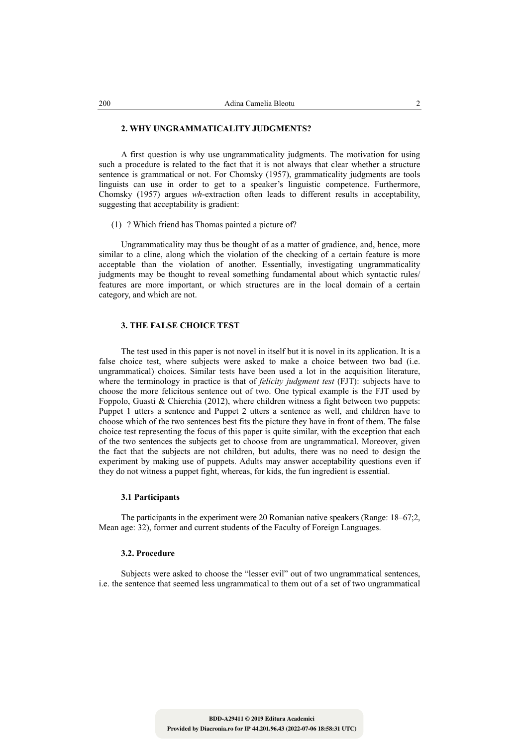#### **2. WHY UNGRAMMATICALITY JUDGMENTS?**

A first question is why use ungrammaticality judgments. The motivation for using such a procedure is related to the fact that it is not always that clear whether a structure sentence is grammatical or not. For Chomsky (1957), grammaticality judgments are tools linguists can use in order to get to a speaker's linguistic competence. Furthermore, Chomsky (1957) argues *wh*-extraction often leads to different results in acceptability, suggesting that acceptability is gradient:

## (1) ? Which friend has Thomas painted a picture of?

Ungrammaticality may thus be thought of as a matter of gradience, and, hence, more similar to a cline, along which the violation of the checking of a certain feature is more acceptable than the violation of another. Essentially, investigating ungrammaticality judgments may be thought to reveal something fundamental about which syntactic rules/ features are more important, or which structures are in the local domain of a certain category, and which are not.

## **3. THE FALSE CHOICE TEST**

The test used in this paper is not novel in itself but it is novel in its application. It is a false choice test, where subjects were asked to make a choice between two bad (i.e. ungrammatical) choices. Similar tests have been used a lot in the acquisition literature, where the terminology in practice is that of *felicity judgment test* (FJT): subjects have to choose the more felicitous sentence out of two. One typical example is the FJT used by Foppolo, Guasti & Chierchia (2012), where children witness a fight between two puppets: Puppet 1 utters a sentence and Puppet 2 utters a sentence as well, and children have to choose which of the two sentences best fits the picture they have in front of them. The false choice test representing the focus of this paper is quite similar, with the exception that each of the two sentences the subjects get to choose from are ungrammatical. Moreover, given the fact that the subjects are not children, but adults, there was no need to design the experiment by making use of puppets. Adults may answer acceptability questions even if they do not witness a puppet fight, whereas, for kids, the fun ingredient is essential.

### **3.1 Participants**

The participants in the experiment were 20 Romanian native speakers (Range: 18–67;2, Mean age: 32), former and current students of the Faculty of Foreign Languages.

#### **3.2. Procedure**

Subjects were asked to choose the "lesser evil" out of two ungrammatical sentences, i.e. the sentence that seemed less ungrammatical to them out of a set of two ungrammatical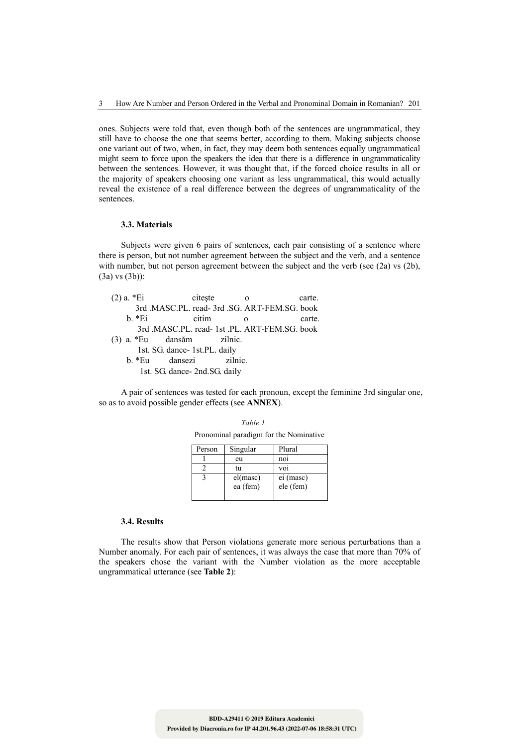ones. Subjects were told that, even though both of the sentences are ungrammatical, they still have to choose the one that seems better, according to them. Making subjects choose one variant out of two, when, in fact, they may deem both sentences equally ungrammatical might seem to force upon the speakers the idea that there is a difference in ungrammaticality between the sentences. However, it was thought that, if the forced choice results in all or the majority of speakers choosing one variant as less ungrammatical, this would actually reveal the existence of a real difference between the degrees of ungrammaticality of the sentences.

## **3.3. Materials**

Subjects were given 6 pairs of sentences, each pair consisting of a sentence where there is person, but not number agreement between the subject and the verb, and a sentence with number, but not person agreement between the subject and the verb (see (2a) vs (2b), (3a) vs (3b)):

| $(2)$ a. $*Ei$              | citeste                                       | $\Omega$ | carte. |
|-----------------------------|-----------------------------------------------|----------|--------|
|                             | 3rd .MASC.PL. read- 3rd .SG. ART-FEM.SG. book |          |        |
| $h * Ei$                    | citim                                         | $\Omega$ | carte. |
|                             | 3rd .MASC.PL. read- 1st .PL. ART-FEM.SG. book |          |        |
| $(3)$ a. *Eu dansăm zilnic. |                                               |          |        |
|                             | 1st. SG. dance- 1st.PL. daily                 |          |        |
| b. *Eu                      | dansezi                                       | zilnic.  |        |
|                             | 1st. SG. dance- 2nd. SG. daily                |          |        |

A pair of sentences was tested for each pronoun, except the feminine 3rd singular one, so as to avoid possible gender effects (see **ANNEX**).

*Table 1*

| Pronominal paradigm for the Nominative |          |           |
|----------------------------------------|----------|-----------|
| Person                                 | Singular | Plural    |
|                                        | eu       | noi       |
|                                        | tu       | voi       |
|                                        | el(masc) | ei (masc) |
|                                        | ea (fem) | ele (fem) |

#### **3.4. Results**

The results show that Person violations generate more serious perturbations than a Number anomaly. For each pair of sentences, it was always the case that more than 70% of the speakers chose the variant with the Number violation as the more acceptable ungrammatical utterance (see **Table 2**):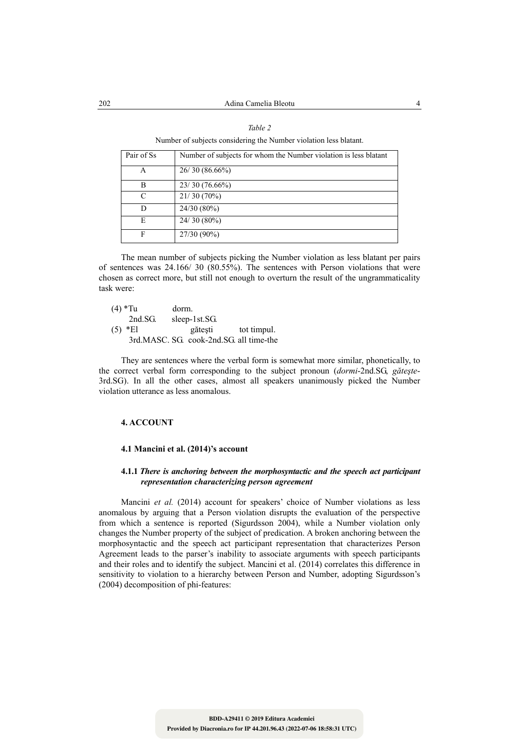| ,, |  |
|----|--|
|    |  |

Number of subjects considering the Number violation less blatant.

| Pair of Ss | Number of subjects for whom the Number violation is less blatant |
|------------|------------------------------------------------------------------|
| А          | 26/30(86.66%)                                                    |
| в          | $23/30(76.66\%)$                                                 |
| C          | 21/30(70%)                                                       |
| D          | 24/30 (80%)                                                      |
| E          | $24/30(80\%)$                                                    |
| F          | 27/30 (90%)                                                      |

The mean number of subjects picking the Number violation as less blatant per pairs of sentences was 24.166/ 30 (80.55%). The sentences with Person violations that were chosen as correct more, but still not enough to overturn the result of the ungrammaticality task were:

| $(4)$ *Tu |            | dorm.                                   |             |
|-----------|------------|-----------------------------------------|-------------|
|           | 2nd.SG.    | sleep-1st.SG.                           |             |
|           | $(5) * E1$ | gătești                                 | tot timpul. |
|           |            | 3rd.MASC. SG. cook-2nd.SG. all time-the |             |

They are sentences where the verbal form is somewhat more similar, phonetically, to the correct verbal form corresponding to the subject pronoun (*dormi*-2nd.SG, *găteşte*-3rd.SG). In all the other cases, almost all speakers unanimously picked the Number violation utterance as less anomalous.

## **4. ACCOUNT**

#### **4.1 Mancini et al. (2014)'s account**

## **4.1.1** *There is anchoring between the morphosyntactic and the speech act participant representation characterizing person agreement*

Mancini *et al.* (2014) account for speakers' choice of Number violations as less anomalous by arguing that a Person violation disrupts the evaluation of the perspective from which a sentence is reported (Sigurdsson 2004), while a Number violation only changes the Number property of the subject of predication. A broken anchoring between the morphosyntactic and the speech act participant representation that characterizes Person Agreement leads to the parser's inability to associate arguments with speech participants and their roles and to identify the subject. Mancini et al. (2014) correlates this difference in sensitivity to violation to a hierarchy between Person and Number, adopting Sigurdsson's (2004) decomposition of phi-features: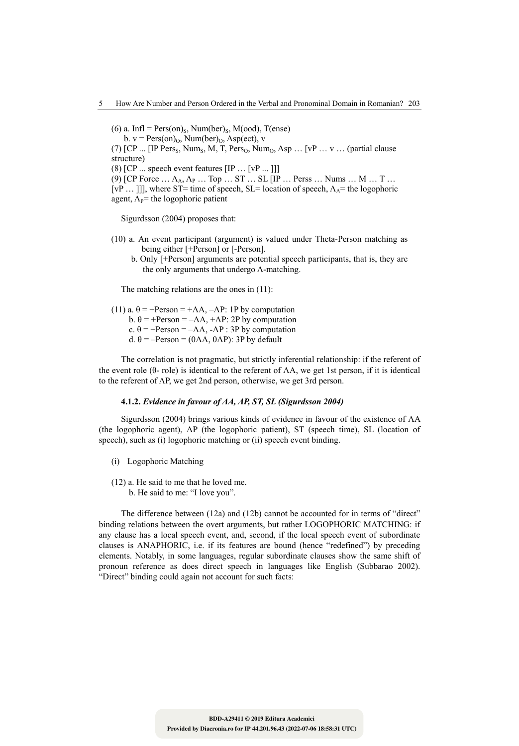(6) a. Infl = Pers(on)<sub>S</sub>, Num(ber)<sub>S</sub>, M(ood), T(ense)

b.  $v = \text{Pers}(on)_0$ , Num(ber)<sub>0</sub>, Asp(ect), v

(7)  $[CP \dots [IP Pers<sub>S</sub>, Num<sub>S</sub>, M, T, Pers<sub>O</sub>, Num<sub>O</sub>, Asp \dots [vP \dots v \dots (partial clause$ structure)

(8)  $[CP \dots$  speech event features  $[IP \dots [vP \dots]]]$ 

(9) [CP Force  $\ldots \Lambda_A$ ,  $\Lambda_P$   $\ldots$  Top  $\ldots$  ST  $\ldots$  SL [IP  $\ldots$  Perss  $\ldots$  Nums  $\ldots$  M  $\ldots$  T  $\ldots$ 

[vP ... ]], where ST= time of speech, SL= location of speech,  $\Lambda_A$ = the logophoric agent,  $\Lambda_{P}$ = the logophoric patient

Sigurdsson (2004) proposes that:

- (10) a. An event participant (argument) is valued under Theta-Person matching as being either [+Person] or [-Person].
	- b. Only [+Person] arguments are potential speech participants, that is, they are the only arguments that undergo Λ-matching.

The matching relations are the ones in (11):

- (11) a.  $\theta$  = +Person = + $\Lambda$ A,  $-\Lambda$ P: 1P by computation
	- b.  $\theta$  = +Person =  $-\Lambda A$ , + $\Lambda P$ : 2P by computation
	- c.  $\theta$  = +Person =  $-\Lambda A$ ,  $-\Lambda P$  : 3P by computation

d. θ = –Person = (0ΛΑ, 0ΛΡ): 3P by default

The correlation is not pragmatic, but strictly inferential relationship: if the referent of the event role (θ- role) is identical to the referent of  $\Lambda A$ , we get 1st person, if it is identical to the referent of ΛP, we get 2nd person, otherwise, we get 3rd person.

#### **4.1.2.** *Evidence in favour of ΛA, ΛP, ST, SL (Sigurdsson 2004)*

Sigurdsson (2004) brings various kinds of evidence in favour of the existence of ΛA (the logophoric agent), ΛP (the logophoric patient), ST (speech time), SL (location of speech), such as (i) logophoric matching or (ii) speech event binding.

- (i) Logophoric Matching
- (12) a. He said to me that he loved me. b. He said to me: "I love you".

The difference between (12a) and (12b) cannot be accounted for in terms of "direct" binding relations between the overt arguments, but rather LOGOPHORIC MATCHING: if any clause has a local speech event, and, second, if the local speech event of subordinate clauses is ANAPHORIC, i.e. if its features are bound (hence "redefined") by preceding elements. Notably, in some languages, regular subordinate clauses show the same shift of pronoun reference as does direct speech in languages like English (Subbarao 2002). "Direct" binding could again not account for such facts: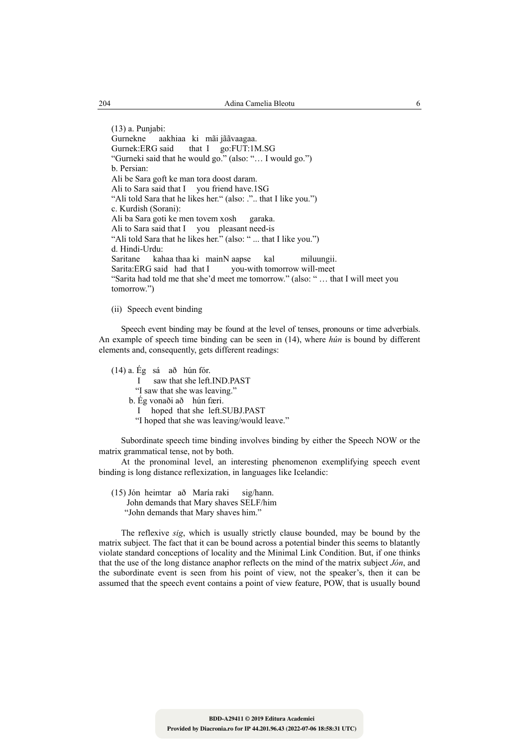(13) a. Punjabi: Gurnekne aakhiaa ki mãi jããvaagaa. Gurnek:ERG said that I go:FUT:1M.SG "Gurneki said that he would go." (also: "… I would go.") b. Persian: Ali be Sara goft ke man tora doost daram. Ali to Sara said that I you friend have.1SG "Ali told Sara that he likes her." (also: .".. that I like you.") c. Kurdish (Sorani): Ali ba Sara goti ke men tovem xosh garaka. Ali to Sara said that I you pleasant need-is "Ali told Sara that he likes her." (also: " ... that I like you.") d. Hindi-Urdu: Saritane kahaa thaa ki mainN aapse kal miluungii. you-with tomorrow will-meet "Sarita had told me that she'd meet me tomorrow." (also: " … that I will meet you tomorrow.")

(ii) Speech event binding

Speech event binding may be found at the level of tenses, pronouns or time adverbials. An example of speech time binding can be seen in (14), where *hún* is bound by different elements and, consequently, gets different readings:

(14) a. Ég sá að hún fór. saw that she left.IND.PAST "I saw that she was leaving." b. Ég vonaði að hún færi. I hoped that she left.SUBJ.PAST "I hoped that she was leaving/would leave."

Subordinate speech time binding involves binding by either the Speech NOW or the matrix grammatical tense, not by both.

At the pronominal level, an interesting phenomenon exemplifying speech event binding is long distance reflexization, in languages like Icelandic:

(15) Jón heimtar að María raki sig/hann. John demands that Mary shaves SELF/him "John demands that Mary shaves him."

The reflexive *sig*, which is usually strictly clause bounded, may be bound by the matrix subject. The fact that it can be bound across a potential binder this seems to blatantly violate standard conceptions of locality and the Minimal Link Condition. But, if one thinks that the use of the long distance anaphor reflects on the mind of the matrix subject *Jón*, and the subordinate event is seen from his point of view, not the speaker's, then it can be assumed that the speech event contains a point of view feature, POW, that is usually bound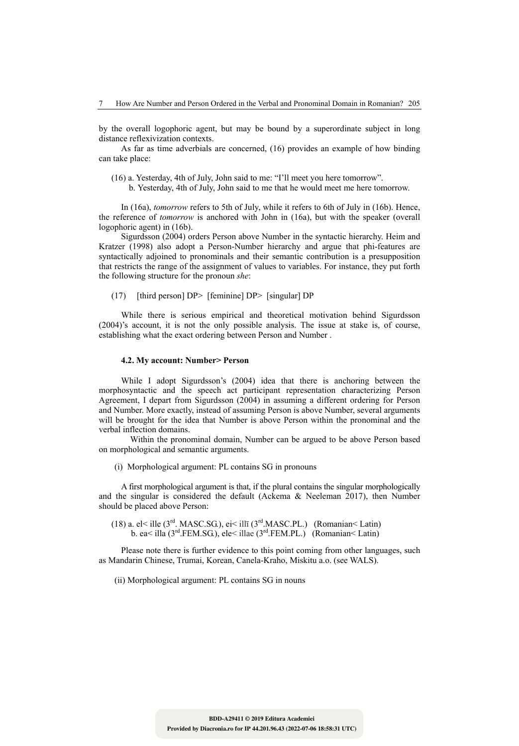by the overall logophoric agent, but may be bound by a superordinate subject in long distance reflexivization contexts.

As far as time adverbials are concerned, (16) provides an example of how binding can take place:

- (16) a. Yesterday, 4th of July, John said to me: "I'll meet you here tomorrow".
	- b. Yesterday, 4th of July, John said to me that he would meet me here tomorrow.

In (16a), *tomorrow* refers to 5th of July, while it refers to 6th of July in (16b). Hence, the reference of *tomorrow* is anchored with John in (16a), but with the speaker (overall logophoric agent) in (16b).

Sigurdsson (2004) orders Person above Number in the syntactic hierarchy. Heim and Kratzer (1998) also adopt a Person-Number hierarchy and argue that phi-features are syntactically adjoined to pronominals and their semantic contribution is a presupposition that restricts the range of the assignment of values to variables. For instance, they put forth the following structure for the pronoun *she*:

(17) [third person] DP> [feminine] DP> [singular] DP

While there is serious empirical and theoretical motivation behind Sigurdsson (2004)'s account, it is not the only possible analysis. The issue at stake is, of course, establishing what the exact ordering between Person and Number .

#### **4.2. My account: Number> Person**

While I adopt Sigurdsson's (2004) idea that there is anchoring between the morphosyntactic and the speech act participant representation characterizing Person Agreement, I depart from Sigurdsson (2004) in assuming a different ordering for Person and Number. More exactly, instead of assuming Person is above Number, several arguments will be brought for the idea that Number is above Person within the pronominal and the verbal inflection domains.

Within the pronominal domain, Number can be argued to be above Person based on morphological and semantic arguments.

(i) Morphological argument: PL contains SG in pronouns

A first morphological argument is that, if the plural contains the singular morphologically and the singular is considered the default (Ackema  $\&$  Neeleman 2017), then Number should be placed above Person:

(18) a. el< ille (3<sup>rd</sup>. MASC.SG.), ei< illī (3<sup>rd</sup>. MASC.PL.) (Romanian< Latin) b. ea< illa  $(3^{rd}.FEM.SG)$ , ele< illae  $(3^{rd}.FEM.PL.)$  (Romanian< Latin)

Please note there is further evidence to this point coming from other languages, such as Mandarin Chinese, Trumai, Korean, Canela-Kraho, Miskitu a.o. (see WALS).

(ii) Morphological argument: PL contains SG in nouns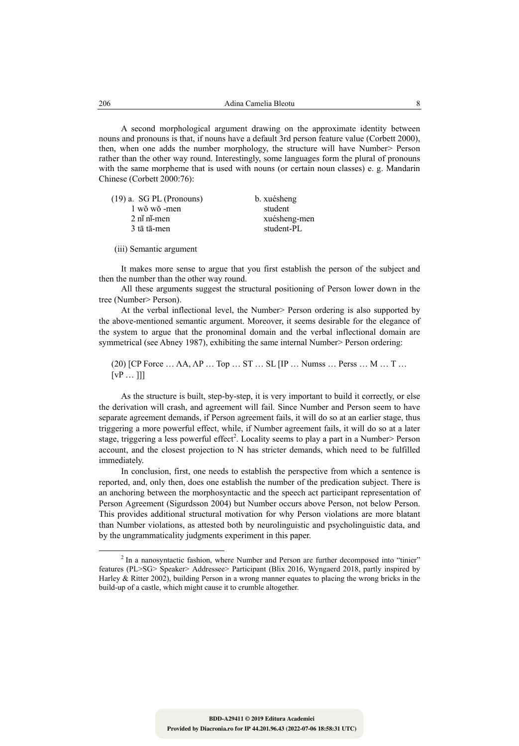A second morphological argument drawing on the approximate identity between nouns and pronouns is that, if nouns have a default 3rd person feature value (Corbett 2000), then, when one adds the number morphology, the structure will have Number> Person rather than the other way round. Interestingly, some languages form the plural of pronouns with the same morpheme that is used with nouns (or certain noun classes) e. g. Mandarin Chinese (Corbett 2000:76):

| $(19)$ a. SG PL (Pronouns)                       | b. xuésheng  |
|--------------------------------------------------|--------------|
| 1 wŏ wŏ -men                                     | student      |
| $2 \nmid \nmid$ n <sup><math>\ldots</math></sup> | xuésheng-men |
| 3 tā tā-men                                      | student-PL   |
|                                                  |              |

(iii) Semantic argument

It makes more sense to argue that you first establish the person of the subject and then the number than the other way round.

All these arguments suggest the structural positioning of Person lower down in the tree (Number> Person).

At the verbal inflectional level, the Number> Person ordering is also supported by the above-mentioned semantic argument. Moreover, it seems desirable for the elegance of the system to argue that the pronominal domain and the verbal inflectional domain are symmetrical (see Abney 1987), exhibiting the same internal Number> Person ordering:

(20) [CP Force … ΛA, ΛP … Top … ST … SL [IP … Numss … Perss … M … T …  $[VP ... ]]$ 

As the structure is built, step-by-step, it is very important to build it correctly, or else the derivation will crash, and agreement will fail. Since Number and Person seem to have separate agreement demands, if Person agreement fails, it will do so at an earlier stage, thus triggering a more powerful effect, while, if Number agreement fails, it will do so at a later stage, triggering a less powerful effect<sup>2</sup>. Locality seems to play a part in a Number> Person account, and the closest projection to N has stricter demands, which need to be fulfilled immediately.

In conclusion, first, one needs to establish the perspective from which a sentence is reported, and, only then, does one establish the number of the predication subject. There is an anchoring between the morphosyntactic and the speech act participant representation of Person Agreement (Sigurdsson 2004) but Number occurs above Person, not below Person. This provides additional structural motivation for why Person violations are more blatant than Number violations, as attested both by neurolinguistic and psycholinguistic data, and by the ungrammaticality judgments experiment in this paper.

 <sup>2</sup> <sup>2</sup> In a nanosyntactic fashion, where Number and Person are further decomposed into "tinier" features (PL>SG> Speaker> Addressee> Participant (Blix 2016, Wyngaerd 2018, partly inspired by Harley & Ritter 2002), building Person in a wrong manner equates to placing the wrong bricks in the build-up of a castle, which might cause it to crumble altogether.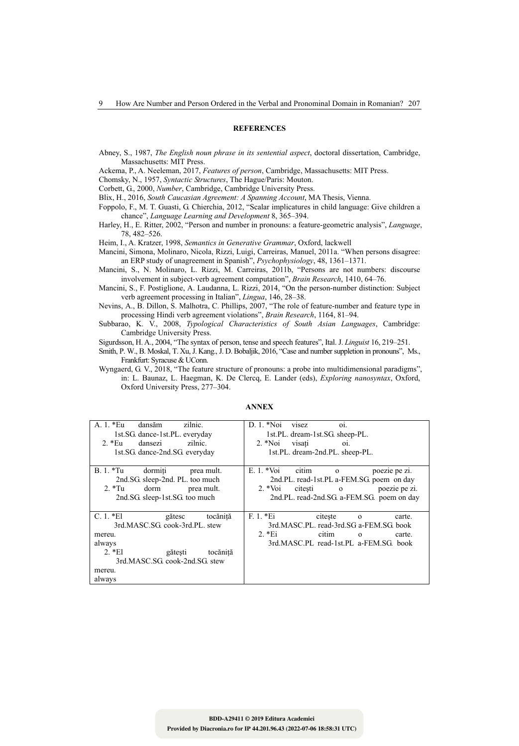#### **REFERENCES**

- Abney, S., 1987, *The English noun phrase in its sentential aspect*, doctoral dissertation, Cambridge, Massachusetts: MIT Press.
- Ackema, P., A. Neeleman, 2017, *Features of person*, Cambridge, Massachusetts: MIT Press.
- Chomsky, N., 1957, *Syntactic Structures*, The Hague/Paris: Mouton.

Corbett, G., 2000, *Number*, Cambridge, Cambridge University Press.

- Blix, H., 2016, *South Caucasian Agreement: A Spanning Account*, MA Thesis, Vienna.
- Foppolo, F., M. T. Guasti, G. Chierchia, 2012, "Scalar implicatures in child language: Give children a chance", *Language Learning and Development* 8, 365–394.
- Harley, H., E. Ritter, 2002, "Person and number in pronouns: a feature-geometric analysis", *Language*, 78, 482–526.
- Heim, I., A. Kratzer, 1998, *Semantics in Generative Grammar*, Oxford, lackwell
- Mancini, Simona, Molinaro, Nicola, Rizzi, Luigi, Carreiras, Manuel, 2011a. "When persons disagree: an ERP study of unagreement in Spanish", *Psychophysiology*, 48, 1361–1371.
- Mancini, S., N. Molinaro, L. Rizzi, M. Carreiras, 2011b, "Persons are not numbers: discourse involvement in subject-verb agreement computation", *Brain Research*, 1410, 64–76.
- Mancini, S., F. Postiglione, A. Laudanna, L. Rizzi, 2014, "On the person-number distinction: Subject verb agreement processing in Italian", *Lingua*, 146, 28–38.
- Nevins, A., B. Dillon, S. Malhotra, C. Phillips, 2007, "The role of feature-number and feature type in processing Hindi verb agreement violations", *Brain Research*, 1164, 81–94.
- Subbarao, K. V., 2008, *Typological Characteristics of South Asian Languages*, Cambridge: Cambridge University Press.

Sigurdsson, H. A., 2004, "The syntax of person, tense and speech features", Ital. J. *Linguist* 16, 219–251.

- Smith, P. W., B. Moskal, T. Xu, J. Kang., J. D. Bobaljik, 2016, "Case and number suppletion in pronouns", Ms., Frankfurt: Syracuse & UConn.
- Wyngaerd, G. V., 2018, "The feature structure of pronouns: a probe into multidimensional paradigms", in: L. Baunaz, L. Haegman, K. De Clercq, E. Lander (eds), *Exploring nanosyntax*, Oxford, Oxford University Press, 277–304.

| zilnic.<br>A. 1. *Eu<br>dansăm<br>1st.SG. dance-1st.PL. everyday<br>zilnic.<br>$2.*Eu$<br>dansezi<br>1st.SG. dance-2nd.SG. everyday                                           | D. 1. *Noi<br>visez<br>01.<br>1st.PL. dream-1st.SG. sheep-PL.<br>2. *Noi visati<br>O1.<br>1st.PL. dream-2nd.PL. sheep-PL.                                                                  |
|-------------------------------------------------------------------------------------------------------------------------------------------------------------------------------|--------------------------------------------------------------------------------------------------------------------------------------------------------------------------------------------|
| $B.1.*Tu$<br>dormiti<br>prea mult.<br>2nd.SG sleep-2nd. PL. too much<br>2. $*Tu$<br>dorm<br>prea mult.<br>2nd.SG sleep-1st.SG too much                                        | E. 1. *Voi<br>citim o<br>poezie pe zi.<br>2nd.PL. read-1st.PL a-FEM.SG poem on day<br>2. $\sqrt[*]{\text{01}}$<br>citesti o<br>poezie pe zi.<br>2nd.PL. read-2nd.SG. a-FEM.SG. poem on day |
| $C.1.*El$<br>gătesc<br>tocăniță<br>3rd.MASC.SG. cook-3rd.PL. stew<br>mereu.<br>always<br>$2.*El$<br>gătești<br>tocănită<br>3rd.MASC.SG. cook-2nd.SG. stew<br>mereu.<br>always | $F. 1. *E1$<br>citeste<br>carte.<br>$\Omega$<br>3rd.MASC.PL. read-3rd.SG a-FEM.SG book<br>$2.*Ei$<br>citim<br>carte.<br>$\mathbf{0}$<br>3rd.MASC.PL read-1st.PL a-FEM.SG book              |

#### **ANNEX**